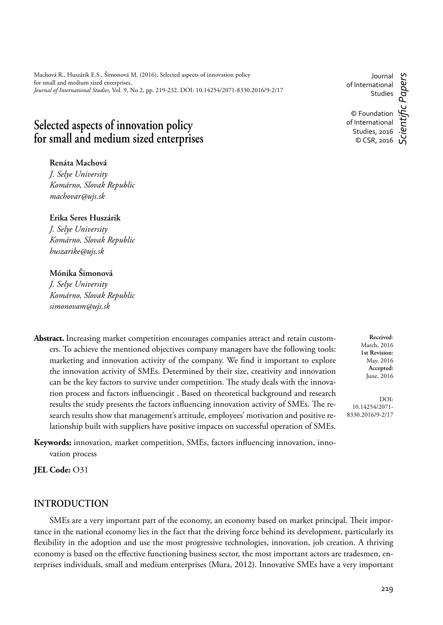Machová R., Huszárik E.S., Šimonová M. (2016), Selected aspects of innovation policy for small and medium sized enterprises, *Journal of International Studies*, Vol. 9, No 2, pp. 219-232. DOI: 10.14254/2071-8330.2016/9-2/17

# **Selected aspects of innovation policy for small and medium sized enterprises**

**Renáta Machová**

*J. Selye University Komárno, Slovak Republic machovar@ujs.sk*

**Erika Seres Huszárik** *J. Selye University Komárno, Slovak Republic huszarike@ujs.sk*

## **Mónika Šimonová**

*J. Selye University Komárno, Slovak Republic simonovam@ujs.sk*

**Abstract.** Increasing market competition encourages companies attract and retain customers. To achieve the mentioned objectives company managers have the following tools: marketing and innovation activity of the company. We find it important to explore the innovation activity of SMEs. Determined by their size, creativity and innovation can be the key factors to survive under competition. The study deals with the innovation process and factors influencingit . Based on theoretical background and research results the study presents the factors influencing innovation activity of SMEs. The research results show that management's attitude, employees' motivation and positive relationship built with suppliers have positive impacts on successful operation of SMEs.

Keywords: innovation, market competition, SMEs, factors influencing innovation, innovation process

**JEL Code:** O31

### **INTRODUCTION**

SMEs are a very important part of the economy, an economy based on market principal. Their importance in the national economy lies in the fact that the driving force behind its development, particularly its flexibility in the adoption and use the most progressive technologies, innovation, job creation. A thriving economy is based on the effective functioning business sector, the most important actors are tradesmen, enterprises individuals, small and medium enterprises (Mura, 2012). Innovative SMEs have a very important

Journal of International Studies

© Foundation of International Studies, 2016 © CSR, 2016

*Scientifi c Papers*

c Papers

**Received**: March, 2016 **1st Revision:** May, 2016 **Accepted:** June, 2016

DOI: 10.14254/2071- 8330.2016/9-2/17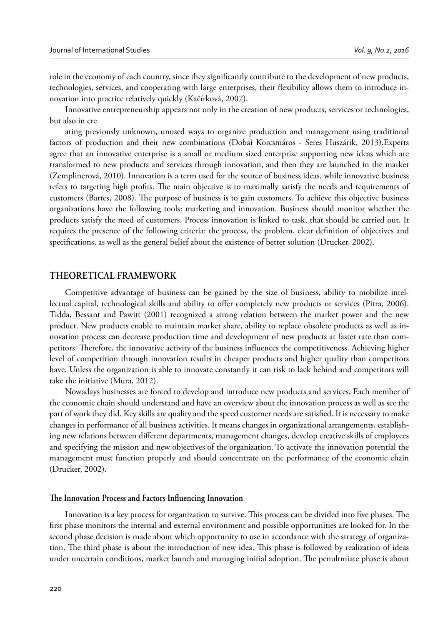role in the economy of each country, since they significantly contribute to the development of new products, technologies, services, and cooperating with large enterprises, their flexibility allows them to introduce innovation into practice relatively quickly (Kačírková, 2007).

Innovative entrepreneurship appears not only in the creation of new products, services or technologies, but also in cre

ating previously unknown, unused ways to organize production and management using traditional factors of production and their new combinations (Dobai Korcsmáros - Seres Huszárik, 2013).Experts agree that an innovative enterprise is a small or medium sized enterprise supporting new ideas which are transformed to new products and services through innovation, and then they are launched in the market (Zemplinerová, 2010). Innovation is a term used for the source of business ideas, while innovative business refers to targeting high profits. The main objective is to maximally satisfy the needs and requirements of customers (Bartes, 2008). The purpose of business is to gain customers. To achieve this objective business organizations have the following tools: marketing and innovation. Business should monitor whether the products satisfy the need of customers. Process innovation is linked to task, that should be carried out. It requires the presence of the following criteria: the process, the problem, clear definition of objectives and specifications, as well as the general belief about the existence of better solution (Drucker, 2002).

#### **THEORETICAL FRAMEWORK**

Competitive advantage of business can be gained by the size of business, ability to mobilize intellectual capital, technological skills and ability to offer completely new products or services (Pitra, 2006). Tidda, Bessant and Pawitt (2001) recognized a strong relation between the market power and the new product. New products enable to maintain market share, ability to replace obsolete products as well as innovation process can decrease production time and development of new products at faster rate than competitors. Therefore, the innovative activity of the business influences the competitiveness. Achieving higher level of competition through innovation results in cheaper products and higher quality than competitors have. Unless the organization is able to innovate constantly it can risk to lack behind and competitors will take the initiative (Mura, 2012).

Nowadays businesses are forced to develop and introduce new products and services. Each member of the economic chain should understand and have an overview about the innovation process as well as see the part of work they did. Key skills are quality and the speed customer needs are satisfied. It is necessary to make changes in performance of all business activities. It means changes in organizational arrangements, establishing new relations between different departments, management changes, develop creative skills of employees and specifying the mission and new objectives of the organization. To activate the innovation potential the management must function properly and should concentrate on the performance of the economic chain (Drucker, 2002).

#### The Innovation Process and Factors Influencing Innovation

Innovation is a key process for organization to survive. This process can be divided into five phases. The first phase monitors the internal and external environment and possible opportunities are looked for. In the second phase decision is made about which opportunity to use in accordance with the strategy of organization. The third phase is about the introduction of new idea. This phase is followed by realization of ideas under uncertain conditions, market launch and managing initial adoption. The penultmiate phase is about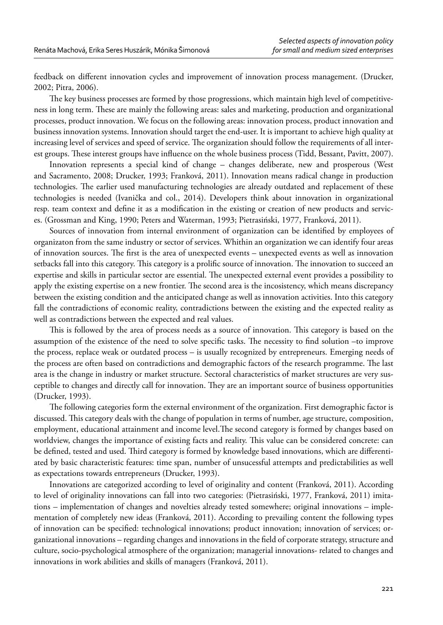feedback on different innovation cycles and improvement of innovation process management. (Drucker, 2002; Pitra, 2006).

The key business processes are formed by those progressions, which maintain high level of competitiveness in long term. These are mainly the following areas: sales and marketing, production and organizational processes, product innovation. We focus on the following areas: innovation process, product innovation and business innovation systems. Innovation should target the end-user. It is important to achieve high quality at increasing level of services and speed of service. The organization should follow the requirements of all interest groups. These interest groups have influence on the whole business process (Tidd, Bessant, Pavitt, 2007).

Innovation represents a special kind of change – changes deliberate, new and prosperous (West and Sacramento, 2008; Drucker, 1993; Franková, 2011). Innovation means radical change in production technologies. The earlier used manufacturing technologies are already outdated and replacement of these technologies is needed (Ivanička and col., 2014). Developers think about innovation in organizational resp. team context and define it as a modification in the existing or creation of new products and services. (Grossman and King, 1990; Peters and Waterman, 1993; Pietrasiński, 1977, Franková, 2011).

Sources of innovation from internal environment of organization can be identified by employees of organizaton from the same industry or sector of services. Whithin an organization we can identify four areas of innovation sources. The first is the area of unexpected events – unexpected events as well as innovation setbacks fall into this category. This category is a prolific source of innovation. The innovation to succeed an expertise and skills in particular sector are essential. The unexpected external event provides a possibility to apply the existing expertise on a new frontier. The second area is the incosistency, which means discrepancy between the existing condition and the anticipated change as well as innovation activities. Into this category fall the contradictions of economic reality, contradictions between the existing and the expected reality as well as contradictions between the expected and real values.

This is followed by the area of process needs as a source of innovation. This category is based on the assumption of the existence of the need to solve specific tasks. The necessity to find solution –to improve the process, replace weak or outdated process – is usually recognized by entrepreneurs. Emerging needs of the process are often based on contradictions and demographic factors of the research programme. The last area is the change in industry or market structure. Sectoral characteristics of market structures are very susceptible to changes and directly call for innovation. They are an important source of business opportunities (Drucker, 1993).

The following categories form the external environment of the organization. First demographic factor is discussed. This category deals with the change of population in terms of number, age structure, composition, employment, educational attainment and income level. The second category is formed by changes based on worldview, changes the importance of existing facts and reality. This value can be considered concrete: can be defined, tested and used. Third category is formed by knowledge based innovations, which are differentiated by basic characteristic features: time span, number of unsucessful attempts and predictabilities as well as expectations towards entrepreneurs (Drucker, 1993).

Innovations are categorized according to level of originality and content (Franková, 2011). According to level of originality innovations can fall into two categories: (Pietrasiński, 1977, Franková, 2011) imitations – implementation of changes and novelties already tested somewhere; original innovations – implementation of completely new ideas (Franková, 2011). According to prevailing content the following types of innovation can be specified: technological innovations; product innovation; innovation of services; organizational innovations – regarding changes and innovations in the field of corporate strategy, structure and culture, socio-psychological atmosphere of the organization; managerial innovations- related to changes and innovations in work abilities and skills of managers (Franková, 2011).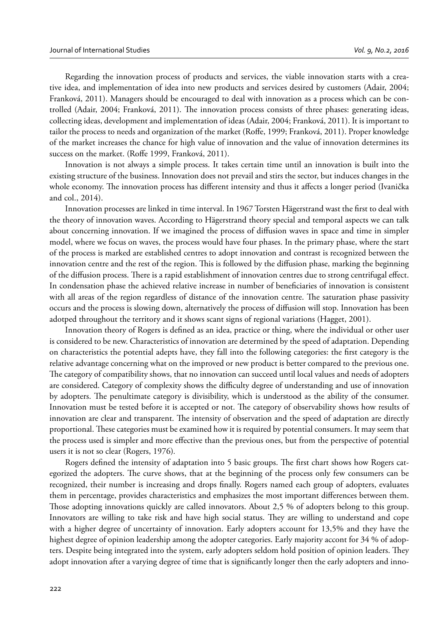Regarding the innovation process of products and services, the viable innovation starts with a creative idea, and implementation of idea into new products and services desired by customers (Adair, 2004; Franková, 2011). Managers should be encouraged to deal with innovation as a process which can be controlled (Adair, 2004; Franková, 2011). The innovation process consists of three phases: generating ideas, collecting ideas, development and implementation of ideas (Adair, 2004; Franková, 2011). It is important to tailor the process to needs and organization of the market (Roffe, 1999; Franková, 2011). Proper knowledge of the market increases the chance for high value of innovation and the value of innovation determines its success on the market. (Roffe 1999, Franková, 2011).

Innovation is not always a simple process. It takes certain time until an innovation is built into the existing structure of the business. Innovation does not prevail and stirs the sector, but induces changes in the whole economy. The innovation process has different intensity and thus it affects a longer period (Ivanička and col., 2014).

Innovation processes are linked in time interval. In 1967 Torsten Hägerstrand wast the first to deal with the theory of innovation waves. According to Hägerstrand theory special and temporal aspects we can talk about concerning innovation. If we imagined the process of diffusion waves in space and time in simpler model, where we focus on waves, the process would have four phases. In the primary phase, where the start of the process is marked are established centres to adopt innovation and contrast is recognized between the innovation centre and the rest of the region. This is followed by the diffusion phase, marking the beginning of the diffusion process. There is a rapid establishment of innovation centres due to strong centrifugal effect. In condensation phase the achieved relative increase in number of beneficiaries of innovation is consistent with all areas of the region regardless of distance of the innovation centre. The saturation phase passivity occurs and the process is slowing down, alternatively the process of diffusion will stop. Innovation has been adotped throughout the territory and it shows scant signs of regional variations (Hagget, 2001).

Innovation theory of Rogers is defined as an idea, practice or thing, where the individual or other user is considered to be new. Characteristics of innovation are determined by the speed of adaptation. Depending on characteristics the potential adepts have, they fall into the following categories: the first category is the relative advantage concerning what on the improved or new product is better compared to the previous one. The category of compatibility shows, that no innovation can succeed until local values and needs of adopters are considered. Category of complexity shows the difficulty degree of understanding and use of innovation by adopters. The penultimate category is divisibility, which is understood as the ability of the consumer. Innovation must be tested before it is accepted or not. The category of observability shows how results of innovation are clear and transparent. The intensity of observation and the speed of adaptation are directly proportional. These categories must be examined how it is required by potential consumers. It may seem that the process used is simpler and more effective than the previous ones, but from the perspective of potential users it is not so clear (Rogers, 1976)*.*

Rogers defined the intensity of adaptation into 5 basic groups. The first chart shows how Rogers categorized the adopters. The curve shows, that at the beginning of the process only few consumers can be recognized, their number is increasing and drops finally. Rogers named each group of adopters, evaluates them in percentage, provides characteristics and emphasizes the most important differences between them. Those adopting innovations quickly are called innovators. About 2,5 % of adopters belong to this group. Innovators are willing to take risk and have high social status. They are willing to understand and cope with a higher degree of uncertainty of innovation. Early adopters account for 13,5% and they have the highest degree of opinion leadership among the adopter categories. Early majority accont for 34 % of adopters. Despite being integrated into the system, early adopters seldom hold position of opinion leaders. They adopt innovation after a varying degree of time that is significantly longer then the early adopters and inno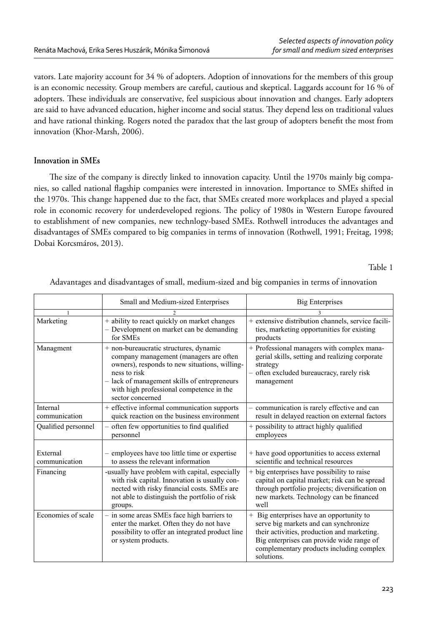vators. Late majority account for 34 % of adopters. Adoption of innovations for the members of this group is an economic necessity. Group members are careful, cautious and skeptical. Laggards account for 16 % of adopters. These individuals are conservative, feel suspicious about innovation and changes. Early adopters are said to have advanced education, higher income and social status. They depend less on traditional values and have rational thinking. Rogers noted the paradox that the last group of adopters benefit the most from innovation (Khor-Marsh, 2006).

### **Innovation in SMEs**

The size of the company is directly linked to innovation capacity. Until the 1970s mainly big companies, so called national flagship companies were interested in innovation. Importance to SMEs shifted in the 1970s. This change happened due to the fact, that SMEs created more workplaces and played a special role in economic recovery for underdeveloped regions. The policy of 1980s in Western Europe favoured to establishment of new companies, new technlogy-based SMEs. Rothwell introduces the advantages and disadvantages of SMEs compared to big companies in terms of innovation (Rothwell, 1991; Freitag, 1998; Dobai Korcsmáros, 2013).

Table 1

|                           | Small and Medium-sized Enterprises                                                                                                                                                                                                                                | <b>Big Enterprises</b>                                                                                                                                                                                                                  |
|---------------------------|-------------------------------------------------------------------------------------------------------------------------------------------------------------------------------------------------------------------------------------------------------------------|-----------------------------------------------------------------------------------------------------------------------------------------------------------------------------------------------------------------------------------------|
|                           |                                                                                                                                                                                                                                                                   |                                                                                                                                                                                                                                         |
| Marketing                 | + ability to react quickly on market changes<br>- Development on market can be demanding<br>for SMEs                                                                                                                                                              | + extensive distribution channels, service facili-<br>ties, marketing opportunities for existing<br>products                                                                                                                            |
| Managment                 | + non-bureaucratic structures, dynamic<br>company management (managers are often<br>owners), responds to new situations, willing-<br>ness to risk<br>- lack of management skills of entrepreneurs<br>with high professional competence in the<br>sector concerned | + Professional managers with complex mana-<br>gerial skills, setting and realizing corporate<br>strategy<br>- often excluded bureaucracy, rarely risk<br>management                                                                     |
| Internal<br>communication | + effective informal communication supports<br>quick reaction on the business environment                                                                                                                                                                         | - communication is rarely effective and can<br>result in delayed reaction on external factors                                                                                                                                           |
| Qualified personnel       | - often few opportunities to find qualified<br>personnel                                                                                                                                                                                                          | + possibility to attract highly qualified<br>employees                                                                                                                                                                                  |
| External<br>communication | employees have too little time or expertise<br>to assess the relevant information                                                                                                                                                                                 | + have good opportunities to access external<br>scientific and technical resources                                                                                                                                                      |
| Financing                 | -usually have problem with capital, especially<br>with risk capital. Innovation is usually con-<br>nected with risky financial costs. SMEs are<br>not able to distinguish the portfolio of risk<br>groups.                                                        | + big enterprises have possibility to raise<br>capital on capital market; risk can be spread<br>through portfolio projects; diversification on<br>new markets. Technology can be financed<br>well                                       |
| Economies of scale        | - in some areas SMEs face high barriers to<br>enter the market. Often they do not have<br>possibility to offer an integrated product line<br>or system products.                                                                                                  | + Big enterprises have an opportunity to<br>serve big markets and can synchronize<br>their activities, production and marketing.<br>Big enterprises can provide wide range of<br>complementary products including complex<br>solutions. |

Adavantages and disadvantages of small, medium-sized and big companies in terms of innovation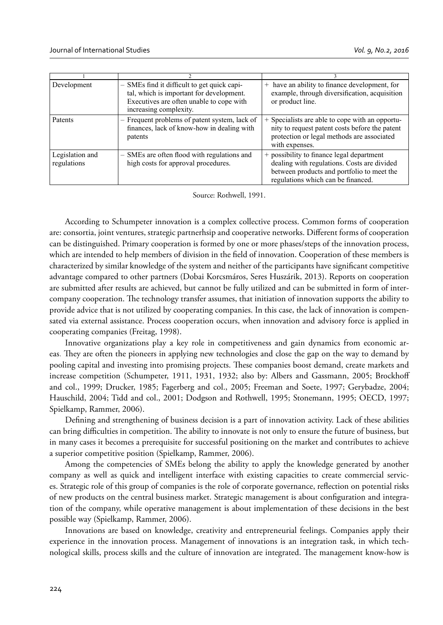| Development                    | - SMEs find it difficult to get quick capi-<br>tal, which is important for development.<br>Executives are often unable to cope with<br>increasing complexity. | have an ability to finance development, for<br>$^{+}$<br>example, through diversification, acquisition<br>or product line.                                                   |
|--------------------------------|---------------------------------------------------------------------------------------------------------------------------------------------------------------|------------------------------------------------------------------------------------------------------------------------------------------------------------------------------|
| Patents                        | - Frequent problems of patent system, lack of<br>finances, lack of know-how in dealing with<br>patents                                                        | + Specialists are able to cope with an opportu-<br>nity to request patent costs before the patent<br>protection or legal methods are associated<br>with expenses.            |
| Legislation and<br>regulations | - SMEs are often flood with regulations and<br>high costs for approval procedures.                                                                            | + possibility to finance legal department<br>dealing with regulations. Costs are divided<br>between products and portfolio to meet the<br>regulations which can be financed. |

Source: Rothwell, 1991.

According to Schumpeter innovation is a complex collective process. Common forms of cooperation are: consortia, joint ventures, strategic partnerhsip and cooperative networks. Different forms of cooperation can be distinguished. Primary cooperation is formed by one or more phases/steps of the innovation process, which are intended to help members of division in the field of innovation. Cooperation of these members is characterized by similar knowledge of the system and neither of the participants have significant competitive advantage compared to other partners (Dobai Korcsmáros, Seres Huszárik, 2013). Reports on cooperation are submitted after results are achieved, but cannot be fully utilized and can be submitted in form of intercompany cooperation. The technology transfer assumes, that initiation of innovation supports the ability to provide advice that is not utilized by cooperating companies. In this case, the lack of innovation is compensated via external assistance. Process cooperation occurs, when innovation and advisory force is applied in cooperating companies (Freitag, 1998).

Innovative organizations play a key role in competitiveness and gain dynamics from economic areas. They are often the pioneers in applying new technologies and close the gap on the way to demand by pooling capital and investing into promising projects. These companies boost demand, create markets and increase competition (Schumpeter, 1911, 1931, 1932; also by: Albers and Gassmann, 2005; Brockhoff and col., 1999; Drucker, 1985; Fagerberg and col., 2005; Freeman and Soete, 1997; Gerybadze, 2004; Hauschild, 2004; Tidd and col., 2001; Dodgson and Rothwell, 1995; Stonemann, 1995; OECD, 1997; Spielkamp, Rammer, 2006).

Defining and strengthening of business decision is a part of innovation activity. Lack of these abilities can bring difficulties in competition. The ability to innovate is not only to ensure the future of business, but in many cases it becomes a prerequisite for successful positioning on the market and contributes to achieve a superior competitive position (Spielkamp, Rammer, 2006).

Among the competencies of SMEs belong the ability to apply the knowledge generated by another company as well as quick and intelligent interface with existing capacities to create commercial services. Strategic role of this group of companies is the role of corporate governance, reflection on potential risks of new products on the central business market. Strategic management is about configuration and integration of the company, while operative management is about implementation of these decisions in the best possible way (Spielkamp, Rammer, 2006).

Innovations are based on knowledge, creativity and entrepreneurial feelings. Companies apply their experience in the innovation process. Management of innovations is an integration task, in which technological skills, process skills and the culture of innovation are integrated. The management know-how is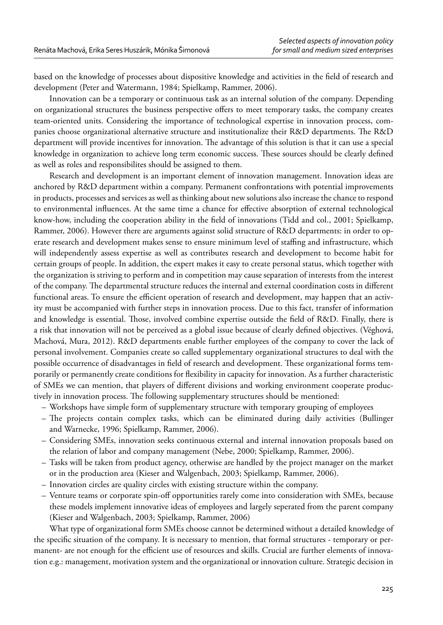based on the knowledge of processes about dispositive knowledge and activities in the field of research and development (Peter and Watermann, 1984; Spielkamp, Rammer, 2006).

Innovation can be a temporary or continuous task as an internal solution of the company. Depending on organizational structures the business perspective offers to meet temporary tasks, the company creates team-oriented units. Considering the importance of technological expertise in innovation process, companies choose organizational alternative structure and institutionalize their R&D departments. The R&D department will provide incentives for innovation. The advantage of this solution is that it can use a special knowledge in organization to achieve long term economic success. These sources should be clearly defined as well as roles and responsibilites should be assigned to them.

Research and development is an important element of innovation management. Innovation ideas are anchored by R&D department within a company. Permanent confrontations with potential improvements in products, processes and services as well as thinking about new solutions also increase the chance to respond to environmental influences. At the same time a chance for effective absorption of external technological know-how, including the cooperation ability in the field of innovations (Tidd and col., 2001; Spielkamp, Rammer, 2006). However there are arguments against solid structure of R&D departments: in order to operate research and development makes sense to ensure minimum level of staffing and infrastructure, which will independently assess expertise as well as contributes research and development to become habit for certain groups of people. In addition, the expert makes it easy to create personal status, which together with the organization is striving to perform and in competition may cause separation of interests from the interest of the company. The departmental structure reduces the internal and external coordination costs in different functional areas. To ensure the efficient operation of research and development, may happen that an activity must be accompanied with further steps in innovation process. Due to this fact, transfer of information and knowledge is essential. Those, involved combine expertise outside the field of R&D. Finally, there is a risk that innovation will not be perceived as a global issue because of clearly defined objectives. (Véghová, Machová, Mura, 2012). R&D departments enable further employees of the company to cover the lack of personal involvement. Companies create so called supplementary organizational structures to deal with the possible occurrence of disadvantages in field of research and development. These organizational forms temporarily or permanently create conditions for flexibility in capacity for innovation. As a further characteristic of SMEs we can mention, that players of different divisions and working environment cooperate productively in innovation process. The following supplementary structures should be mentioned:

- Workshops have simple form of supplementary structure with temporary grouping of employees
- The projects contain complex tasks, which can be eliminated during daily activities (Bullinger and Warnecke, 1996; Spielkamp, Rammer, 2006).
- Considering SMEs, innovation seeks continuous external and internal innovation proposals based on the relation of labor and company management (Nebe, 2000; Spielkamp, Rammer, 2006).
- Tasks will be taken from product agency, otherwise are handled by the project manager on the market or in the production area (Kieser and Walgenbach, 2003; Spielkamp, Rammer, 2006).
- Innovation circles are quality circles with existing structure within the company.
- Venture teams or corporate spin-off opportunities rarely come into consideration with SMEs, because these models implement innovative ideas of employees and largely seperated from the parent company (Kieser and Walgenbach, 2003; Spielkamp, Rammer, 2006)

What type of organizational form SMEs choose cannot be determined without a detailed knowledge of the specific situation of the company. It is necessary to mention, that formal structures - temporary or permanent- are not enough for the efficient use of resources and skills. Crucial are further elements of innovation e.g.: management, motivation system and the organizational or innovation culture. Strategic decision in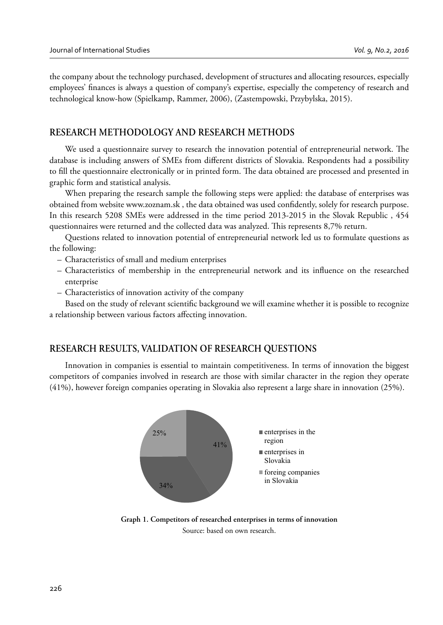the company about the technology purchased, development of structures and allocating resources, especially employees' finances is always a question of company's expertise, especially the competency of research and technological know-how (Spielkamp, Rammer, 2006), (Zastempowski, Przybylska, 2015).

# **RESEARCH METHODOLOGY AND RESEARCH METHODS**

We used a questionnaire survey to research the innovation potential of entrepreneurial network. The database is including answers of SMEs from different districts of Slovakia. Respondents had a possibility to fill the questionnaire electronically or in printed form. The data obtained are processed and presented in graphic form and statistical analysis.

When preparing the research sample the following steps were applied: the database of enterprises was obtained from website www.zoznam.sk, the data obtained was used confidently, solely for research purpose. In this research 5208 SMEs were addressed in the time period 2013-2015 in the Slovak Republic , 454 questionnaires were returned and the collected data was analyzed. This represents 8,7% return.

Questions related to innovation potential of entrepreneurial network led us to formulate questions as the following:

- Characteristics of small and medium enterprises
- Characteristics of membership in the entrepreneurial network and its influence on the researched enterprise
- Characteristics of innovation activity of the company

Based on the study of relevant scientific background we will examine whether it is possible to recognize a relationship between various factors affecting innovation.

### **RESEARCH RESULTS, VALIDATION OF RESEARCH QUESTIONS**

Innovation in companies is essential to maintain competitiveness. In terms of innovation the biggest competitors of companies involved in research are those with similar character in the region they operate (41%), however foreign companies operating in Slovakia also represent a large share in innovation (25%).



**Graph 1. Competitors of researched enterprises in terms of innovation** Source: based on own research.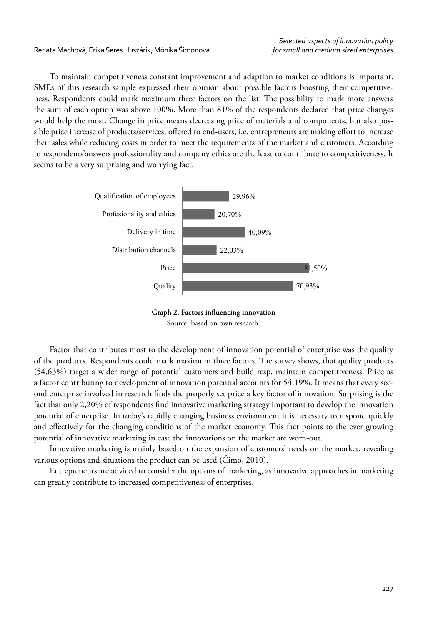To maintain competitiveness constant improvement and adaption to market conditions is important. SMEs of this research sample expressed their opinion about possible factors boosting their competitiveness. Respondents could mark maximum three factors on the list. The possibility to mark more answers the sum of each option was above 100%. More than 81% of the respondents declared that price changes would help the most. Change in price means decreasing price of materials and components, but also possible price increase of products/services, offered to end-users, i.e. entrepreneurs are making effort to increase their sales while reducing costs in order to meet the requirements of the market and customers. According to respondents'answers professionality and company ethics are the least to contribute to competitiveness. It seems to be a very surprising and worrying fact.



Graph 2. Factors influencing innovation Source: based on own research.

Factor that contributes most to the development of innovation potential of enterprise was the quality of the products. Respondents could mark maximum three factors. The survey shows, that quality products (54,63%) target a wider range of potential customers and build resp. maintain competitiveness. Price as a factor contributing to development of innovation potential accounts for 54,19%. It means that every second enterprise involved in research finds the properly set price a key factor of innovation. Surprising is the fact that only 2,20% of respondents find innovative marketing strategy important to develop the innovation potential of enterprise. In today's rapidly changing business environment it is necessary to respond quickly and effectively for the changing conditions of the market economy. This fact points to the ever growing potential of innovative marketing in case the innovations on the market are worn-out.

Innovative marketing is mainly based on the expansion of customers' needs on the market, revealing various options and situations the product can be used (Čimo, 2010).

Entrepreneurs are adviced to consider the options of marketing, as innovative approaches in marketing can greatly contribute to increased competitiveness of enterprises.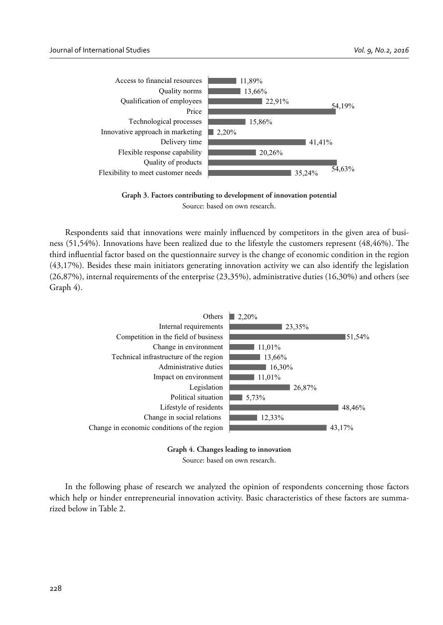

**Graph 3. Factors contributing to development of innovation potential** Source: based on own research.

Respondents said that innovations were mainly influenced by competitors in the given area of business  $(51,54%)$ . Innovations have been realized due to the lifestyle the customers represent  $(48,46%)$ . The third influential factor based on the questionnaire survey is the change of economic condition in the region (43,17%). Besides these main initiators generating innovation activity we can also identify the legislation (26,87%), internal requirements of the enterprise (23,35%), administrative duties (16,30%) and others (see Graph 4).



**Graph 4. Changes leading to innovation** Source: based on own research.

In the following phase of research we analyzed the opinion of respondents concerning those factors which help or hinder entrepreneurial innovation activity. Basic characteristics of these factors are summarized below in Table 2.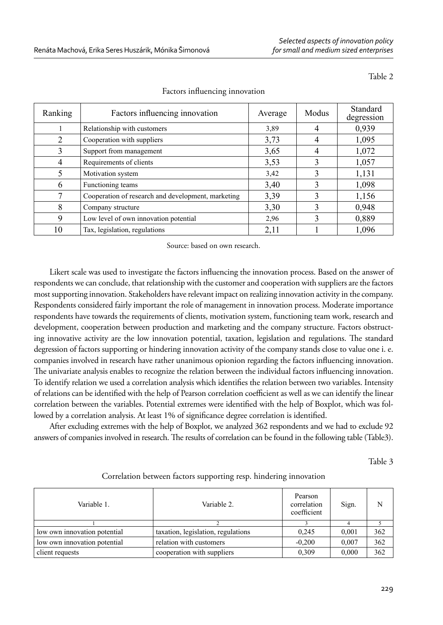Table 2

| Ranking     | Factors influencing innovation                     | Average | Modus | Standard<br>degression |
|-------------|----------------------------------------------------|---------|-------|------------------------|
|             | Relationship with customers                        | 3,89    | 4     | 0,939                  |
| 2           | Cooperation with suppliers                         | 3,73    | 4     | 1,095                  |
| 3           | Support from management                            | 3,65    | 4     | 1,072                  |
| 4           | Requirements of clients                            | 3.53    |       | 1,057                  |
| 5           | Motivation system                                  | 3,42    | 3     | 1,131                  |
| 6           | Functioning teams                                  | 3,40    | 3     | 1,098                  |
|             | Cooperation of research and development, marketing | 3,39    | 3     | 1,156                  |
| 8           | Company structure                                  | 3,30    | 3     | 0,948                  |
| $\mathbf Q$ | Low level of own innovation potential              | 2,96    |       | 0,889                  |
| 10          | Tax, legislation, regulations                      | 2,11    |       | 1,096                  |

### Factors influencing innovation

Source: based on own research.

Likert scale was used to investigate the factors influencing the innovation process. Based on the answer of respondents we can conclude, that relationship with the customer and cooperation with suppliers are the factors most supporting innovation. Stakeholders have relevant impact on realizing innovation activity in the company. Respondents considered fairly important the role of management in innovation process. Moderate importance respondents have towards the requirements of clients, motivation system, functioning team work, research and development, cooperation between production and marketing and the company structure. Factors obstructing innovative activity are the low innovation potential, taxation, legislation and regulations. The standard degression of factors supporting or hindering innovation activity of the company stands close to value one i. e. companies involved in research have rather unanimous opionion regarding the factors influencing innovation. The univariate analysis enables to recognize the relation between the individual factors influencing innovation. To identify relation we used a correlation analysis which identifies the relation between two variables. Intensity of relations can be identified with the help of Pearson correlation coefficient as well as we can identify the linear correlation between the variables. Potential extremes were identified with the help of Boxplot, which was followed by a correlation analysis. At least 1% of significance degree correlation is identified.

After excluding extremes with the help of Boxplot, we analyzed 362 respondents and we had to exclude 92 answers of companies involved in research. The results of correlation can be found in the following table (Table3).

Table 3

| Correlation between factors supporting resp. hindering innovation |  |  |  |  |  |
|-------------------------------------------------------------------|--|--|--|--|--|
|                                                                   |  |  |  |  |  |

| Variable 1.                  | Variable 2.                        | Pearson<br>correlation<br>coefficient | Sign. | N   |
|------------------------------|------------------------------------|---------------------------------------|-------|-----|
|                              |                                    |                                       |       |     |
| low own innovation potential | taxation, legislation, regulations | 0.245                                 | 0,001 | 362 |
| low own innovation potential | relation with customers            | $-0.200$                              | 0.007 | 362 |
| client requests              | cooperation with suppliers         | 0.309                                 | 0,000 | 362 |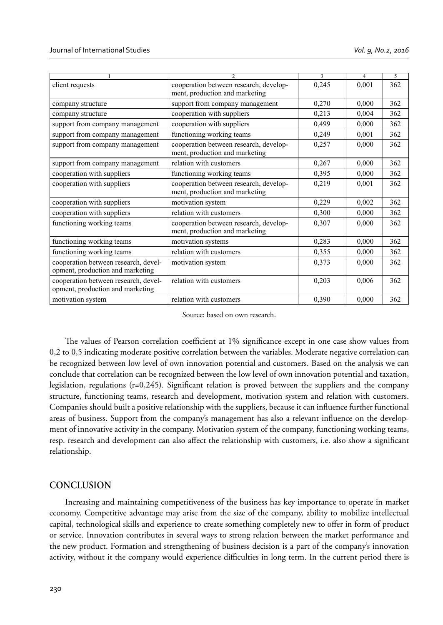|                                                                          | $\mathcal{D}$                                                            | $\overline{\mathbf{3}}$ | 4     | 5   |
|--------------------------------------------------------------------------|--------------------------------------------------------------------------|-------------------------|-------|-----|
| client requests                                                          | cooperation between research, develop-<br>ment, production and marketing | 0,245                   | 0,001 | 362 |
| company structure                                                        | support from company management                                          | 0,270                   | 0,000 | 362 |
| company structure                                                        | cooperation with suppliers                                               | 0,213                   | 0,004 | 362 |
| support from company management                                          | cooperation with suppliers                                               | 0,499                   | 0,000 | 362 |
| support from company management                                          | functioning working teams                                                | 0,249                   | 0,001 | 362 |
| support from company management                                          | cooperation between research, develop-<br>ment, production and marketing | 0,257                   | 0,000 | 362 |
| support from company management                                          | relation with customers                                                  | 0,267                   | 0,000 | 362 |
| cooperation with suppliers                                               | functioning working teams                                                | 0,395                   | 0,000 | 362 |
| cooperation with suppliers                                               | cooperation between research, develop-<br>ment, production and marketing | 0,219                   | 0,001 | 362 |
| cooperation with suppliers                                               | motivation system                                                        | 0,229                   | 0,002 | 362 |
| cooperation with suppliers                                               | relation with customers                                                  | 0,300                   | 0,000 | 362 |
| functioning working teams                                                | cooperation between research, develop-<br>ment, production and marketing | 0,307                   | 0,000 | 362 |
| functioning working teams                                                | motivation systems                                                       | 0,283                   | 0,000 | 362 |
| functioning working teams                                                | relation with customers                                                  | 0,355                   | 0,000 | 362 |
| cooperation between research, devel-<br>opment, production and marketing | motivation system                                                        | 0,373                   | 0,000 | 362 |
| cooperation between research, devel-<br>opment, production and marketing | relation with customers                                                  | 0,203                   | 0,006 | 362 |
| motivation system                                                        | relation with customers                                                  | 0,390                   | 0,000 | 362 |

Source: based on own research.

The values of Pearson correlation coefficient at 1% significance except in one case show values from 0,2 to 0,5 indicating moderate positive correlation between the variables. Moderate negative correlation can be recognized between low level of own innovation potential and customers. Based on the analysis we can conclude that correlation can be recognized between the low level of own innovation potential and taxation, legislation, regulations ( $r=0,245$ ). Significant relation is proved between the suppliers and the company structure, functioning teams, research and development, motivation system and relation with customers. Companies should built a positive relationship with the suppliers, because it can influence further functional areas of business. Support from the company's management has also a relevant influence on the development of innovative activity in the company. Motivation system of the company, functioning working teams, resp. research and development can also affect the relationship with customers, i.e. also show a significant relationship.

#### **CONCLUSION**

Increasing and maintaining competitiveness of the business has key importance to operate in market economy. Competitive advantage may arise from the size of the company, ability to mobilize intellectual capital, technological skills and experience to create something completely new to offer in form of product or service. Innovation contributes in several ways to strong relation between the market performance and the new product. Formation and strengthening of business decision is a part of the company's innovation activity, without it the company would experience difficulties in long term. In the current period there is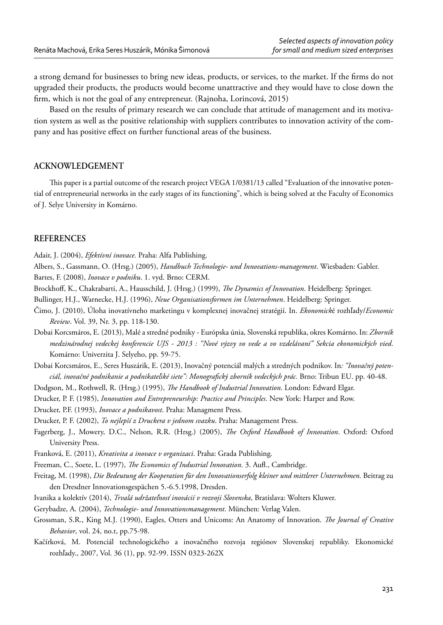a strong demand for businesses to bring new ideas, products, or services, to the market. If the firms do not upgraded their products, the products would become unattractive and they would have to close down the firm, which is not the goal of any entrepreneur. (Rajnoha, Lorincová, 2015)

Based on the results of primary research we can conclude that attitude of management and its motivation system as well as the positive relationship with suppliers contributes to innovation activity of the company and has positive effect on further functional areas of the business.

#### **ACKNOWLEDGEMENT**

This paper is a partial outcome of the research project VEGA 1/0381/13 called "Evaluation of the innovative potential of entrepreneurial networks in the early stages of its functioning", which is being solved at the Faculty of Economics of J. Selye University in Komárno.

### **REFERENCES**

Adair, J. (2004), *Efektívní inovace.* Praha: Alfa Publishing.

- Albers, S., Gassmann, O. (Hrsg.) (2005), *Handbuch Technologie- und Innovations-management*. Wiesbaden: Gabler. Bartes, F. (2008), *Inovace v podniku*. 1. vyd. Brno: CERM.
- Brockhoff, K., Chakrabarti, A., Hausschild, J. (Hrsg.) (1999), *The Dynamics of Innovation*. Heidelberg: Springer.
- Bullinger, H.J., Warnecke, H.J. (1996), *Neue Organisationsformen im Unternehmen*. Heidelberg: Springer.
- Čimo, J. (2010), Úloha inovatívneho marketingu v komplexnej inovačnej stratégií. In. *Ekonomick*é rozhľady/*Economic Review*. Vol. 39, Nr. 3, pp. 118-130.
- Dobai Korcsmáros, E. (2013), Malé a stredné podniky Európska únia, Slovenská republika, okres Komárno. In: *Zborník medzinárodnej vedeckej konferencie UJS - 2013 : "Nové výzvy vo vede a vo vzdelávaní" Sekcia ekonomických vied*. Komárno: Univerzita J. Selyeho, pp. 59-75.
- Dobai Korcsmáros, E., Seres Huszárik, E. (2013), Inovačný potenciál malých a stredných podnikov. In*: "Inovačný potenciál, inovačné podnikanie a podnikateľské siete": Monografi cký zborník vedeckých prác.* Brno: Tribun EU. pp. 40-48.
- Dodgson, M., Rothwell, R. (Hrsg.) (1995), *The Handbook of Industrial Innovation*. London: Edward Elgar.
- Drucker, P. F. (1985), *Innovation and Entrepreneurship: Practice and Principles*. New York: Harper and Row.

Drucker, P.F. (1993), *Inovace a podnikavost*. Praha: Managment Press.

Drucker, P. F. (2002), *To nejlepší z Druckera v jednom svazku*. Praha: Management Press.

- Fagerberg, J., Mowery, D.C., Nelson, R.R. (Hrsg.) (2005), *The Oxford Handbook of Innovation*. Oxford: Oxford University Press.
- Franková, E. (2011), *Kreativita a inovace v organizaci*. Praha: Grada Publishing.
- Freeman, C., Soete, L. (1997), *The Economics of Industrial Innovation*. 3. Aufl., Cambridge.
- Freitag, M. (1998), *Die Bedeutung der Kooperation für den Innovationserfolg kleiner und mittlerer Unternehmen.* Beitrag zu den Dresdner Innovationsgespächen 5.-6.5.1998, Dresden.
- Ivanika a kolektív (2014), *Trvalá udržateľnosť inovácií v rozvoji Slovenska*, Bratislava: Wolters Kluwer.
- Gerybadze, A. (2004), *Technologie- und Innovationsmanagement*. München: Verlag Valen.
- Grossman, S.R., King M.J. (1990), Eagles, Otters and Unicoms: An Anatomy of Innovation. *The Journal of Creative Behavior*, vol. 24, no.t, pp.75-98.
- Kačírková, M. Potenciál technologického a inovačného rozvoja regiónov Slovenskej republiky. Ekonomické rozhľady., 2007, Vol. 36 (1), pp. 92-99. ISSN 0323-262X